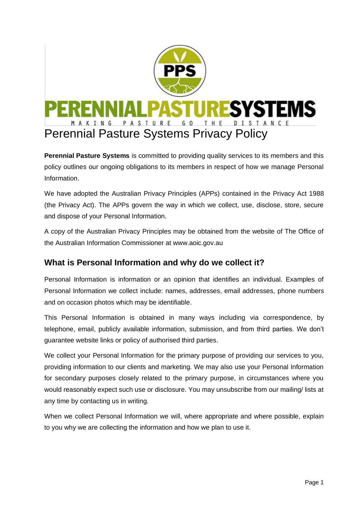

**Perennial Pasture Systems** is committed to providing quality services to its members and this policy outlines our ongoing obligations to its members in respect of how we manage Personal Information.

We have adopted the Australian Privacy Principles (APPs) contained in the Privacy Act 1988 (the Privacy Act). The APPs govern the way in which we collect, use, disclose, store, secure and dispose of your Personal Information.

A copy of the Australian Privacy Principles may be obtained from the website of The Office of the Australian Information Commissioner at www.aoic.gov.au

## **What is Personal Information and why do we collect it?**

Personal Information is information or an opinion that identifies an individual. Examples of Personal Information we collect include: names, addresses, email addresses, phone numbers and on occasion photos which may be identifiable.

This Personal Information is obtained in many ways including via correspondence, by telephone, email, publicly available information, submission, and from third parties. We don't guarantee website links or policy of authorised third parties.

We collect your Personal Information for the primary purpose of providing our services to you, providing information to our clients and marketing. We may also use your Personal Information for secondary purposes closely related to the primary purpose, in circumstances where you would reasonably expect such use or disclosure. You may unsubscribe from our mailing/ lists at any time by contacting us in writing.

When we collect Personal Information we will, where appropriate and where possible, explain to you why we are collecting the information and how we plan to use it.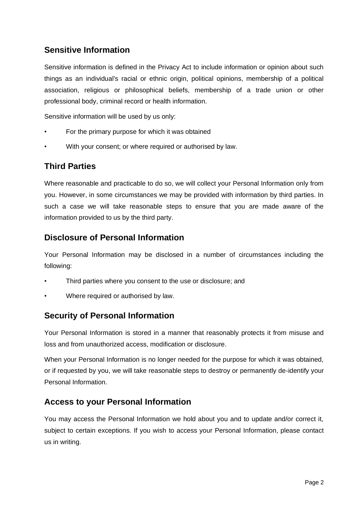## **Sensitive Information**

Sensitive information is defined in the Privacy Act to include information or opinion about such things as an individual's racial or ethnic origin, political opinions, membership of a political association, religious or philosophical beliefs, membership of a trade union or other professional body, criminal record or health information.

Sensitive information will be used by us only:

- For the primary purpose for which it was obtained
- With your consent; or where required or authorised by law.

## **Third Parties**

Where reasonable and practicable to do so, we will collect your Personal Information only from you. However, in some circumstances we may be provided with information by third parties. In such a case we will take reasonable steps to ensure that you are made aware of the information provided to us by the third party.

## **Disclosure of Personal Information**

Your Personal Information may be disclosed in a number of circumstances including the following:

- Third parties where you consent to the use or disclosure; and
- Where required or authorised by law.

#### **Security of Personal Information**

Your Personal Information is stored in a manner that reasonably protects it from misuse and loss and from unauthorized access, modification or disclosure.

When your Personal Information is no longer needed for the purpose for which it was obtained, or if requested by you, we will take reasonable steps to destroy or permanently de-identify your Personal Information.

#### **Access to your Personal Information**

You may access the Personal Information we hold about you and to update and/or correct it, subject to certain exceptions. If you wish to access your Personal Information, please contact us in writing.